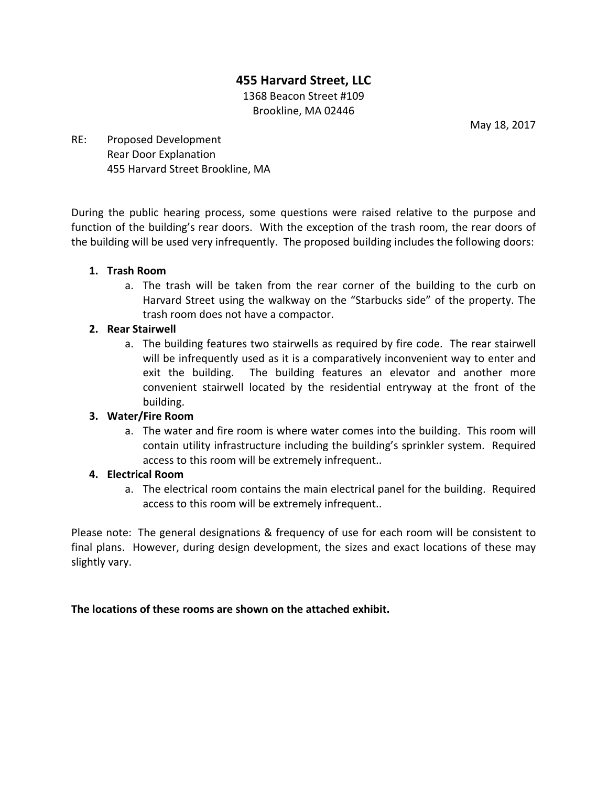# **455 Harvard Street, LLC**

1368 Beacon Street #109 Brookline, MA 02446

May 18, 2017

## RE: Proposed Development Rear Door Explanation 455 Harvard Street Brookline, MA

During the public hearing process, some questions were raised relative to the purpose and function of the building's rear doors. With the exception of the trash room, the rear doors of the building will be used very infrequently. The proposed building includes the following doors:

#### **1. Trash Room**

a. The trash will be taken from the rear corner of the building to the curb on Harvard Street using the walkway on the "Starbucks side" of the property. The trash room does not have a compactor.

#### **2. Rear Stairwell**

a. The building features two stairwells as required by fire code. The rear stairwell will be infrequently used as it is a comparatively inconvenient way to enter and exit the building. The building features an elevator and another more convenient stairwell located by the residential entryway at the front of the building.

## **3. Water/Fire Room**

a. The water and fire room is where water comes into the building. This room will contain utility infrastructure including the building's sprinkler system. Required access to this room will be extremely infrequent..

## **4. Electrical Room**

a. The electrical room contains the main electrical panel for the building. Required access to this room will be extremely infrequent..

Please note: The general designations & frequency of use for each room will be consistent to final plans. However, during design development, the sizes and exact locations of these may slightly vary.

## The locations of these rooms are shown on the attached exhibit.